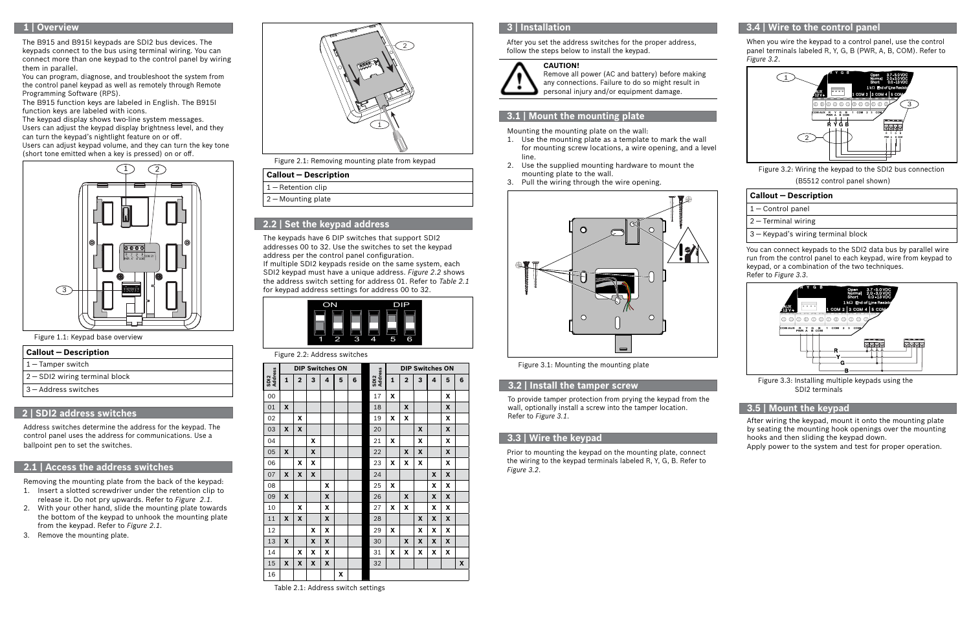## **2.1 | Access the address switches**

# **3.4 | Wire to the control panel**

After you set the address switches for the proper address, follow the steps below to install the keypad.

Mounting the mounting plate on the wall:

- 1. Use the mounting plate as a template to mark the wall for mounting screw locations, a wire opening, and a level line.
- 2. Use the supplied mounting hardware to mount the mounting plate to the wall.
- 3. Pull the wiring through the wire opening.



- $1 -$  Control panel
- 2 ― Terminal wiring
- 3 ― Keypad's wiring terminal block

Figure 3.1: Mounting the mounting plate

## **3.1 | Mount the mounting plate**

When you wire the keypad to a control panel, use the control panel terminals labeled R, Y, G, B (PWR, A, B, COM). Refer to *Figure 3.2*.

| <b>Callout - Description</b> |
|------------------------------|
|------------------------------|



Figure 3.2: Wiring the keypad to the SDI2 bus connection (B5512 control panel shown)





Figure 3.3: Installing multiple keypads using the SDI2 terminals

After wiring the keypad, mount it onto the mounting plate by seating the mounting hook openings over the mounting hooks and then sliding the keypad down.

Apply power to the system and test for proper operation.

## **3.5 | Mount the keypad**

#### **CAUTION!**



Remove all power (AC and battery) before making any connections. Failure to do so might result in personal injury and/or equipment damage.

> You can connect keypads to the SDI2 data bus by parallel wire run from the control panel to each keypad, wire from keypad to keypad, or a combination of the two techniques. Refer to *Figure 3.3*.

### **2 | SDI2 address switches**

Address switches determine the address for the keypad. The control panel uses the address for communications. Use a ballpoint pen to set the switches.

Figure 2.1: Removing mounting plate from keypad



The keypads have 6 DIP switches that support SDI2 addresses 00 to 32. Use the switches to set the keypad address per the control panel configuration. If multiple SDI2 keypads reside on the same system, each SDI2 keypad must have a unique address. *Figure 2.2* shows the address switch setting for address 01. Refer to *Table 2.1* for keypad address settings for address 00 to 32.

## **2.2 | Set the keypad address**

Removing the mounting plate from the back of the keypad:

- 1. Insert a slotted screwdriver under the retention clip to release it. Do not pry upwards. Refer to *Figure 2.1.*
- 2. With your other hand, slide the mounting plate towards the bottom of the keypad to unhook the mounting plate from the keypad. Refer to *Figure 2.1.*
- 3. Remove the mounting plate.

#### Figure 2.2: Address switches

|                 | <b>DIP Switches ON</b> |             |   |   |   |   | <b>DIP Switches ON</b> |   |              |   |   |   |   |
|-----------------|------------------------|-------------|---|---|---|---|------------------------|---|--------------|---|---|---|---|
| SDI2<br>Address | $\mathbf{1}$           | $\mathbf 2$ | 3 | 4 | 5 | 6 | SDI2<br>Address        | 1 | $\mathbf{2}$ | 3 | 4 | 5 | 6 |
| 00              |                        |             |   |   |   |   | 17                     | X |              |   |   | X |   |
| 01              | X                      |             |   |   |   |   | 18                     |   | X            |   |   | X |   |
| 02              |                        | X           |   |   |   |   | 19                     | X | X            |   |   | X |   |
| 03              | X                      | X           |   |   |   |   | 20                     |   |              | X |   | X |   |
| 04              |                        |             | X |   |   |   | 21                     | X |              | X |   | X |   |
| 05              | X                      |             | X |   |   |   | 22                     |   | X            | X |   | X |   |
| 06              |                        | x           | X |   |   |   | 23                     | x | x            | X |   | X |   |
| 07              | X                      | X           | X |   |   |   | 24                     |   |              |   | X | X |   |
| 08              |                        |             |   | X |   |   | 25                     | X |              |   | X | X |   |
| 09              | X                      |             |   | X |   |   | 26                     |   | X            |   | X | X |   |
| 10              |                        | x           |   | X |   |   | 27                     | X | X            |   | X | X |   |
| 11              | X                      | X           |   | X |   |   | 28                     |   |              | X | X | X |   |
| 12              |                        |             | X | X |   |   | 29                     | X |              | X | x | X |   |
| 13              | X                      |             | X | X |   |   | 30                     |   | X            | X | X | X |   |
| 14              |                        | X           | x | X |   |   | 31                     | X | X            | X | x | X |   |
| 15              | X                      | X           | X | X |   |   | 32                     |   |              |   |   |   | X |
| 16              |                        |             |   |   | x |   |                        |   |              |   |   |   |   |

Table 2.1: Address switch settings

#### Figure 1.1: Keypad base overview

The B915 and B915I keypads are SDI2 bus devices. The keypads connect to the bus using terminal wiring. You can connect more than one keypad to the control panel by wiring them in parallel.

You can program, diagnose, and troubleshoot the system from the control panel keypad as well as remotely through Remote Programming Software (RPS).

The B915 function keys are labeled in English. The B915I function keys are labeled with icons.

The keypad display shows two-line system messages. Users can adjust the keypad display brightness level, and they

can turn the keypad's nightlight feature on or off. Users can adjust keypad volume, and they can turn the key tone (short tone emitted when a key is pressed) on or off.

#### **Callout ― Description**

- 1 ― Tamper switch
- 2 ― SDI2 wiring terminal block
- 3 ― Address switches



#### **Callout ― Description**

1 – Retention clip

2 ― Mounting plate

### **3.2 | Install the tamper screw**

To provide tamper protection from prying the keypad from the wall, optionally install a screw into the tamper location. Refer to *Figure 3.1*.

### **3.3 | Wire the keypad**

Prior to mounting the keypad on the mounting plate, connect the wiring to the keypad terminals labeled R, Y, G, B. Refer to *Figure 3.2*.